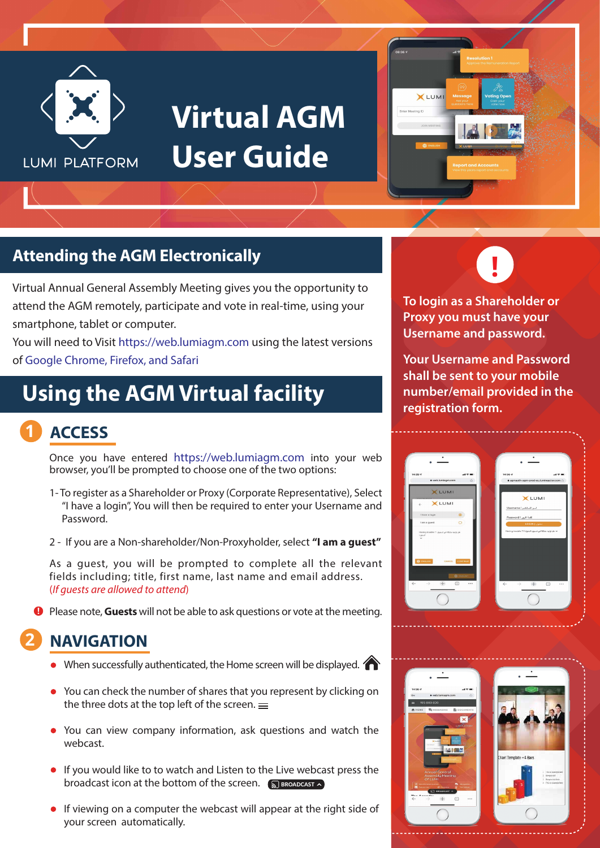

## **Virtual AGM User Guide**



## **Attending the AGM Electronically**

Virtual Annual General Assembly Meeting gives you the opportunity to attend the AGM remotely, participate and vote in real-time, using your smartphone, tablet or computer.

You will need to Visit https://web.lumiagm.com using the latest versions of Google Chrome, Firefox, and Safari

## **Using the AGM Virtual facility**

#### **1 ACCESS**

Once you have entered https://web.lumiagm.com into your web browser, you'll be prompted to choose one of the two options:

- 1- To register as a Shareholder or Proxy (Corporate Representative), Select "I have a login", You will then be required to enter your Username and Password.
- 2 If you are a Non-shareholder/Non-Proxyholder, select **"I am a guest"**

As a guest, you will be prompted to complete all the relevant fields including; title, first name, last name and email address. (*If guests are allowed to attend*)

**P** Please note, Guests will not be able to ask questions or vote at the meeting.

### **2 NAVIGATION**

- When successfully authenticated, the Home screen will be displayed.
- You can check the number of shares that you represent by clicking on the three dots at the top left of the screen.  $=$
- You can view company information, ask questions and watch the webcast.
- **If you would like to to watch and Listen to the Live webcast press the** broadcast icon at the bottom of the screen. S BROADCAST
- **If viewing on a computer the webcast will appear at the right side of** your screen automatically.



**To login as a Shareholder or Proxy you must have your Username and password.**

**Your Username and Password shall be sent to your mobile number/email provided in the registration form.**



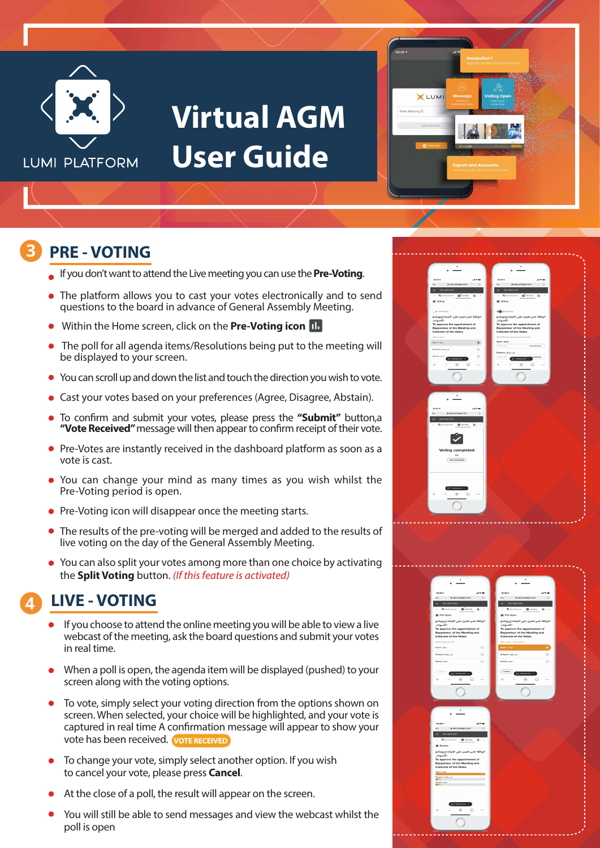

## **Virtual AGM User Guide**



#### **3 PRE - VOTING**

- If you don't want to attend the Live meeting you can use the **Pre-Voting**.
- The platform allows you to cast your votes electronically and to send questions to the board in advance of General Assembly Meeting.
- Within the Home screen, click on the **Pre-Voting icon**
- The poll for all agenda items/Resolutions being put to the meeting will be displayed to your screen.
- You can scroll up and down the list and touch the direction you wish to vote.
- Cast your votes based on your preferences (Agree, Disagree, Abstain).
- To confirm and submit your votes, please press the "Submit" button,a "Vote Received" message will then appear to confirm receipt of their vote.
- Pre-Votes are instantly received in the dashboard platform as soon as a vote is cast.
- You can change your mind as many times as you wish whilst the Pre-Voting period is open.
- **•** Pre-Voting icon will disappear once the meeting starts.
- The results of the pre-voting will be merged and added to the results of live voting on the day of the General Assembly Meeting.
- You can also split your votes among more than one choice by activating the **Split Voting** button. *(If this feature is activated)*

### **4 LIVE - VOTING**

- If you choose to attend the online meeting you will be able to view a live webcast of the meeting, ask the board questions and submit your votes in real time.
- When a poll is open, the agenda item will be displayed (pushed) to your screen along with the voting options.
- To vote, simply select your voting direction from the options shown on screen. When selected, your choice will be highlighted, and your vote is captured in real time A confirmation message will appear to show your vote has been received. **VOTE RECEIVED**
- To change your vote, simply select another option. If you wish to cancel your vote, please press **Cancel**.
- At the close of a poll, the result will appear on the screen.
- You will still be able to send messages and view the webcast whilst the poll is open

|                                                                               | ۰                                                                        |
|-------------------------------------------------------------------------------|--------------------------------------------------------------------------|
|                                                                               |                                                                          |
| 14:37 4<br>$\mathbf{a}$ is a set of                                           | $14:37-2$<br>$\mathbf{a}$ in the figure                                  |
| $\circ$<br>$\circ$<br>a web Jumiagn.com                                       | $\circ$<br>· web.lumiagm.com<br>$\circ$<br>۰                             |
| 195-889-830<br>Ξ<br><b>B</b> vorms<br><b>取 MESSAGING</b><br>数につ<br>$\epsilon$ | 195 889 830<br><b>B</b> vorms<br><b>職IMESSASING</b><br>数につ<br>$\epsilon$ |
| <b>EB</b> Voting                                                              | <b>B</b> Voting                                                          |
|                                                                               |                                                                          |
| <b>Old Sylt Volky</b><br>اللوافقة على تعيين مقرر الاجتماع وجامع               | <b>CONTRACTOR</b><br>اللوافقة على تحيين مقرر الاجتماع وجامع              |
| الأصوات.<br>To approve the appointment of                                     | الأصوات.<br>To approve the appointment of                                |
| Rapporteur of the Meeting and                                                 | Rapporteur of the Meeting and                                            |
| Collector of the Votes.<br>Select a ch                                        | Collector of the Votes.<br>Split 1/200 votes across at least 1-cheice22  |
| Agree   Jay<br>$\circledast$                                                  | موافق Agree I                                                            |
| غیر موافق Disagree I<br>$\circ$                                               | Enter spit.<br>ADD REMAINING                                             |
| <b>Ling I restrict</b><br>$\circ$<br>EROADCAST<br><b>ET</b>                   | .<br>فير موافق ( Disagree<br>Enter split.<br><b>ET ENDADCAST A</b>       |
| æ<br>$\leftarrow$<br>$\rightarrow$<br>$\odot$<br>                             | $\leftarrow$<br>$+$<br>⊕<br>$\cdots$<br>->                               |
|                                                                               |                                                                          |
|                                                                               |                                                                          |
|                                                                               |                                                                          |
|                                                                               |                                                                          |
|                                                                               |                                                                          |
| 14/37.4<br>$-1$                                                               |                                                                          |
| $\circ$<br>· web.lumiagm.com<br>$\sim$                                        |                                                                          |
| 195 889 830                                                                   |                                                                          |
| <b>職</b> MESSAGING<br><b>B</b> voring<br>指につ<br>ć                             |                                                                          |
|                                                                               |                                                                          |
|                                                                               |                                                                          |
| <b>Voting completed</b>                                                       |                                                                          |
| 2/2                                                                           |                                                                          |
| $($ EDIT RESPONSES                                                            |                                                                          |
|                                                                               |                                                                          |
|                                                                               |                                                                          |
|                                                                               |                                                                          |
| <b>ST</b> ENGAGEAST A                                                         |                                                                          |
| Œ.<br>$\leftarrow$<br>⊙<br>$\cdots$<br>$\longrightarrow$                      |                                                                          |
|                                                                               |                                                                          |

| $14:39$ $4$                               | $\mathbf{a}$ and $\mathbf{a}$          | $14:39-7$                                 | $\mathbf{A} \oplus \mathbf{B}$ |  |
|-------------------------------------------|----------------------------------------|-------------------------------------------|--------------------------------|--|
| $O_T$                                     | a web.lumiagm.com<br>$\odot$           | a web.lumlagm.com<br>$O_T$                | O.                             |  |
| 195-889-830<br>۰                          |                                        | 195-889-830<br>۰                          |                                |  |
| ■ MESSAGING ■ VOTING<br>$\epsilon$        | 图→                                     | 題 MESSAGING 图 VOTING<br>×.                | 西 · >                          |  |
| <b>B</b> Poll Open                        |                                        | <b>B</b> Poll Open                        |                                |  |
|                                           | اللوافقة على تعيين مقرر الاجتماع وجامع | اللوافقة علىى تعيين مقرر الاجتماع وجامع   |                                |  |
| الأصوات.<br>To approve the appointment of |                                        | الأصوات.<br>To approve the appointment of |                                |  |
| Rapporteur of the Meeting and             |                                        | Rapporteur of the Meeting and             |                                |  |
| Collector of the Votes.                   |                                        | Collector of the Votes.                   |                                |  |
| Select a rivaire to send                  |                                        | .<br>Vote received ، عوائل Agree I        |                                |  |
| Agree I Julya                             | $\circ$                                | .<br>موافق ( Agree                        | ۰                              |  |
| غير موافق Disagree                        | $\circ$                                | غير مرافق ( Disagnee                      | $\circ$                        |  |
| Abstain Latin                             | $\circ$                                | Abstain Lyde                              | $\circ$                        |  |
|                                           |                                        |                                           |                                |  |
| cases.)                                   |                                        | CANON.                                    |                                |  |
| $\sqrt{2}$ <b>BEQADEAST</b> $\sim$        |                                        | <b>ET MONDCAST A</b>                      |                                |  |
| ←                                         | $+$<br>⊙<br>                           | $^{+}$<br>$\leftarrow$                    | ⊙<br>$\cdots$                  |  |
|                                           |                                        |                                           |                                |  |
|                                           |                                        |                                           |                                |  |
|                                           |                                        |                                           |                                |  |
|                                           |                                        |                                           |                                |  |
|                                           |                                        |                                           |                                |  |
|                                           |                                        |                                           |                                |  |
|                                           |                                        |                                           |                                |  |
|                                           |                                        |                                           |                                |  |
| 14:39 of                                  | $-4.9$ mm $-$                          |                                           |                                |  |
| $\Phi_T$                                  | a web.lumlagm.com<br>$\mathcal{O}$     |                                           |                                |  |
|                                           |                                        |                                           |                                |  |
| 195-889-830<br>٠<br>$\epsilon$            |                                        |                                           |                                |  |
| <b>Massessens</b>                         | <b>ES</b> votees<br>图(1)               |                                           |                                |  |
| <b>B</b> Results                          |                                        |                                           |                                |  |
|                                           | الموافقة على تعيين مقرر الاجتماع وجامع |                                           |                                |  |
| الأصوات.<br>To approve the appointment of |                                        |                                           |                                |  |
| Rapporteur of the Meeting and             |                                        |                                           |                                |  |
| Collector of the Votes.                   |                                        |                                           |                                |  |
| Agree I Julys                             |                                        |                                           |                                |  |
| غیر مرافق Disagnee I<br>Ch                |                                        |                                           |                                |  |
| Abstrain I gas?                           |                                        |                                           |                                |  |
|                                           |                                        |                                           |                                |  |
|                                           |                                        |                                           |                                |  |
|                                           |                                        |                                           |                                |  |
|                                           | $\Box$ anowecast $\land$               |                                           |                                |  |
| $\leftarrow$<br>$\longrightarrow$         | $+$<br>$\odot$<br>                     |                                           |                                |  |
|                                           |                                        |                                           |                                |  |